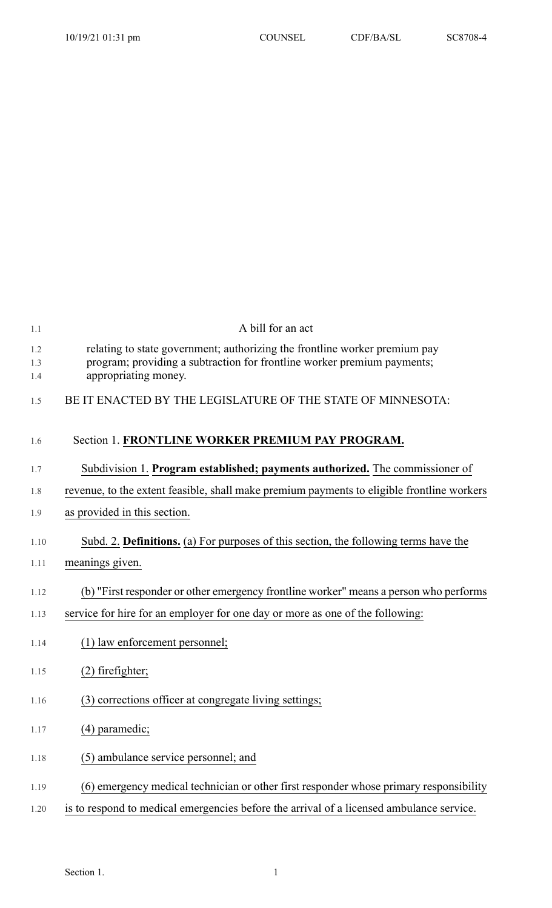| 1.1               | A bill for an act                                                                                                                                                             |
|-------------------|-------------------------------------------------------------------------------------------------------------------------------------------------------------------------------|
| 1.2<br>1.3<br>1.4 | relating to state government; authorizing the frontline worker premium pay<br>program; providing a subtraction for frontline worker premium payments;<br>appropriating money. |
| 1.5               | BE IT ENACTED BY THE LEGISLATURE OF THE STATE OF MINNESOTA:                                                                                                                   |
| 1.6               | Section 1. FRONTLINE WORKER PREMIUM PAY PROGRAM.                                                                                                                              |
| 1.7               | Subdivision 1. Program established; payments authorized. The commissioner of                                                                                                  |
| 1.8               | revenue, to the extent feasible, shall make premium payments to eligible frontline workers                                                                                    |
| 1.9               | as provided in this section.                                                                                                                                                  |
| 1.10              | Subd. 2. Definitions. (a) For purposes of this section, the following terms have the                                                                                          |
| 1.11              | meanings given.                                                                                                                                                               |
| 1.12              | (b) "First responder or other emergency frontline worker" means a person who performs                                                                                         |
| 1.13              | service for hire for an employer for one day or more as one of the following:                                                                                                 |
| 1.14              | (1) law enforcement personnel;                                                                                                                                                |
| 1.15              | $(2)$ fire fighter;                                                                                                                                                           |
| 1.16              | (3) corrections officer at congregate living settings;                                                                                                                        |
| 1.17              | (4) paramedic;                                                                                                                                                                |
| 1.18              | (5) ambulance service personnel; and                                                                                                                                          |
| 1.19              | (6) emergency medical technician or other first responder whose primary responsibility                                                                                        |
| 1.20              | is to respond to medical emergencies before the arrival of a licensed ambulance service.                                                                                      |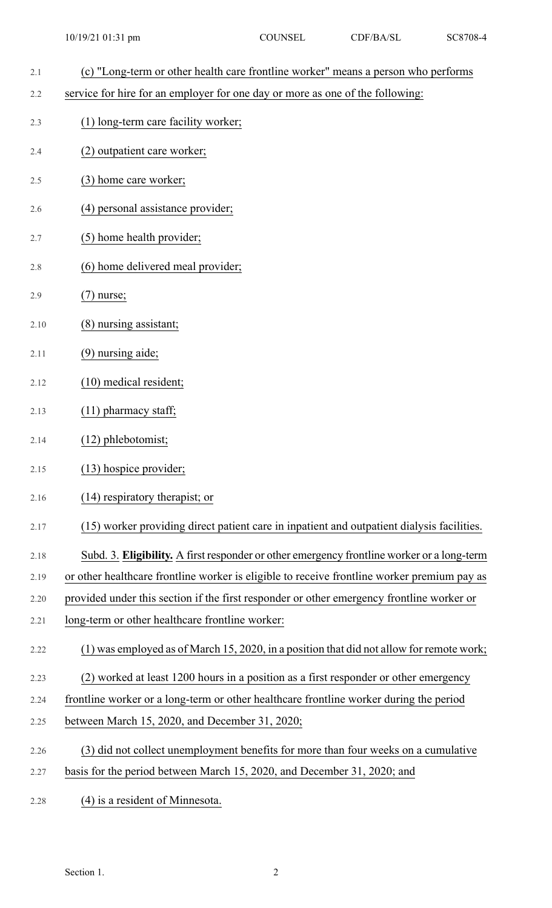- 2.1 (c) "Long-term or other health care frontline worker" means a person who performs 2.2 service for hire for an employer for one day or more as one of the following: 2.3 (1) long-term care facility worker; 2.4 (2) outpatient care worker; 2.5 (3) home care worker; 2.6 (4) personal assistance provider; 2.7 (5) home health provider; 2.8 (6) home delivered meal provider; 2.9 (7) nurse; 2.10 (8) nursing assistant; 2.11 (9) nursing aide; 2.12 (10) medical resident; 10/19/21 01:31 pm COUNSEL CDF/BA/SL SC8708-4
- 2.13 (11) pharmacy staff;
- 2.14 (12) phlebotomist;
- 2.15 (13) hospice provider;
- 2.16 (14) respiratory therapist; or
- 2.17 (15) worker providing direct patient care in inpatient and outpatient dialysis facilities.
- 2.18 Subd. 3. **Eligibility.** A first responder or other emergency frontline worker or a long-term
- 2.19 or other healthcare frontline worker is eligible to receive frontline worker premium pay as
- 2.20 provided under this section if the first responder or other emergency frontline worker or
- 2.21 long-term or other healthcare frontline worker:
- 2.22 (1) was employed as of March 15, 2020, in a position that did not allow for remote work;
- 2.23 (2) worked at least 1200 hours in a position as a first responder or other emergency
- 2.24 frontline worker or a long-term or other healthcare frontline worker during the period
- 2.25 between March 15, 2020, and December 31, 2020;
- 2.26 (3) did not collect unemployment benefits for more than four weeks on a cumulative
- 2.27 basis for the period between March 15, 2020, and December 31, 2020; and
- 2.28 (4) is a resident of Minnesota.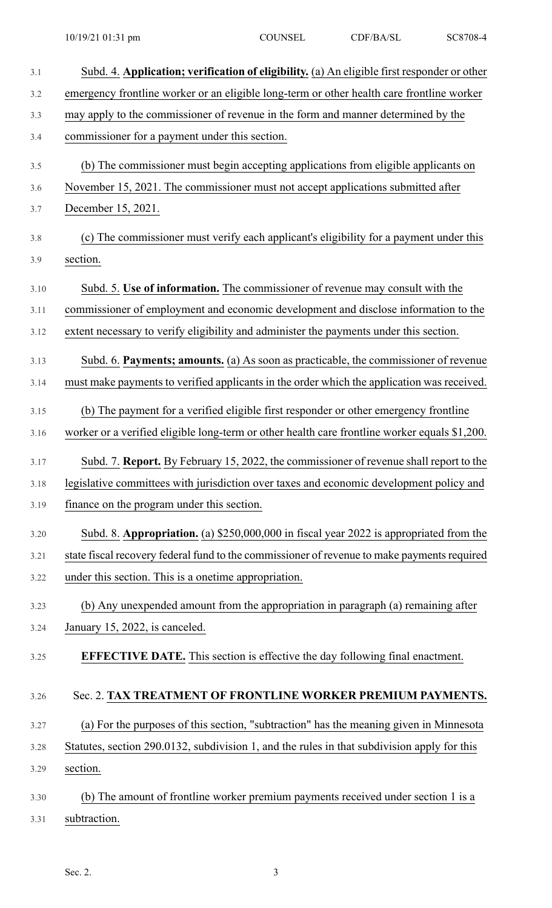| 3.1  | Subd. 4. Application; verification of eligibility. (a) An eligible first responder or other   |
|------|-----------------------------------------------------------------------------------------------|
| 3.2  | emergency frontline worker or an eligible long-term or other health care frontline worker     |
| 3.3  | may apply to the commissioner of revenue in the form and manner determined by the             |
| 3.4  | commissioner for a payment under this section.                                                |
| 3.5  | (b) The commissioner must begin accepting applications from eligible applicants on            |
| 3.6  | November 15, 2021. The commissioner must not accept applications submitted after              |
| 3.7  | December 15, 2021.                                                                            |
| 3.8  | (c) The commissioner must verify each applicant's eligibility for a payment under this        |
| 3.9  | section.                                                                                      |
| 3.10 | Subd. 5. Use of information. The commissioner of revenue may consult with the                 |
| 3.11 | commissioner of employment and economic development and disclose information to the           |
| 3.12 | extent necessary to verify eligibility and administer the payments under this section.        |
| 3.13 | Subd. 6. Payments; amounts. (a) As soon as practicable, the commissioner of revenue           |
| 3.14 | must make payments to verified applicants in the order which the application was received.    |
| 3.15 | (b) The payment for a verified eligible first responder or other emergency frontline          |
| 3.16 | worker or a verified eligible long-term or other health care frontline worker equals \$1,200. |
| 3.17 | Subd. 7. Report. By February 15, 2022, the commissioner of revenue shall report to the        |
| 3.18 | legislative committees with jurisdiction over taxes and economic development policy and       |
| 3.19 | finance on the program under this section.                                                    |
| 3.20 | Subd. 8. Appropriation. (a) \$250,000,000 in fiscal year 2022 is appropriated from the        |
| 3.21 | state fiscal recovery federal fund to the commissioner of revenue to make payments required   |
| 3.22 | under this section. This is a onetime appropriation.                                          |
| 3.23 | (b) Any unexpended amount from the appropriation in paragraph (a) remaining after             |
| 3.24 | January 15, 2022, is canceled.                                                                |
| 3.25 | <b>EFFECTIVE DATE.</b> This section is effective the day following final enactment.           |
| 3.26 | Sec. 2. TAX TREATMENT OF FRONTLINE WORKER PREMIUM PAYMENTS.                                   |
| 3.27 | (a) For the purposes of this section, "subtraction" has the meaning given in Minnesota        |
| 3.28 | Statutes, section 290.0132, subdivision 1, and the rules in that subdivision apply for this   |
| 3.29 | section.                                                                                      |
| 3.30 | (b) The amount of frontline worker premium payments received under section 1 is a             |
| 3.31 | subtraction.                                                                                  |